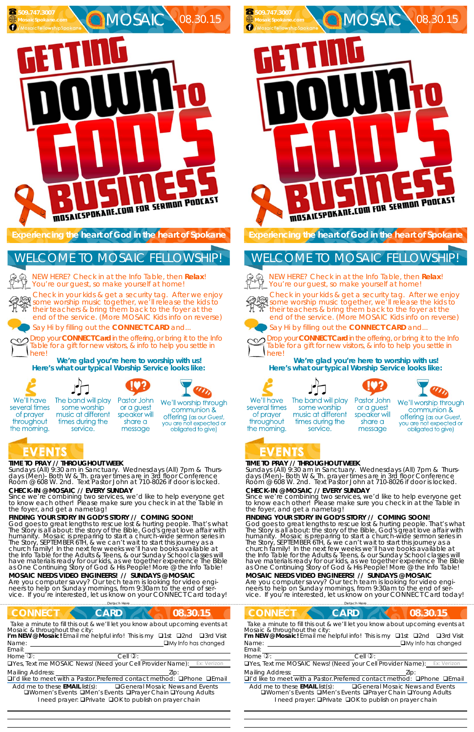## **TIME TO PRAY // THROUGHOUT WEEK**

*Sundays* (All) 9:30 am in Sanctuary. *Wednesdays* (All) 7pm & *Thurs*days (Men)- Both W & Th. prayer times are in 3rd floor Conference<br>Room @ 608 W. 2nd. Text Pastor John at 710-8026 if door is locked.

God goes to great lengths to rescue lost & hurting people. That's what The Story is all about: the story of the Bible, God's great love affair with humanity. Mosaic is preparing to start a church-wide sermon series in The Story, SEPTEMBER 6TH, & we can't wait to start this journey as a church family! In the next few weeks we'll have books available at the Info Table for the Adults & Teens, & our Sunday School classes will have materials ready for our kids, as we together experience The Bible as One Continuing Story of God & His People! More @ the Info Table!

## **CHECK-IN @ MOSAIC // EVERY SUNDAY**

Since we're combining two services, we'd like to help everyone get to know each other! Please make sure you check in at the Table in the foyer, and get a nametag!

# **FINDING YOUR STORY IN GOD'S STORY // COMING SOON!**

NEW HERE? Check in at the Info Table, then **Relax**! You're our guest, so make yourself at home!

#### **MOSAIC NEEDS VIDEO ENGINEERS! // SUNDAYS @ MOSAIC**

Are you computer savvy? Our tech team is looking for video engineers to help on Sunday mornings, from 9:30am to the end of service. If you're interested, let us know on your CONNECT Card today!

*Sundays* (All) 9:30 am in Sanctuary. *Wednesdays* (All) 7pm & *Thurs*days (Men)- Both W & Th. prayer times are in 3rd floor Conference<br>Room @ 608 W. 2nd. Text Pastor John at 710-8026 if door is locked.

# **C**MOSAIC 08.30.15 **MosaicSpokane.com /MosaicFellowshipSpokane** MUSAICSPOKAIIE.COM FOR SERMON PODCAST

**Experiencing the heart of God in the heart of Spokane** 

God goes to great lengths to rescue lost & hurting people. That's what The Story is all about: the story of the Bible, God's great love affair with humanity. Mosaic is preparing to start a church-wide sermon series in The Story, SEPTEMBER 6TH, & we can't wait to start this journey as a church family! In the next few weeks we'll have books available at the Info Table for the Adults & Teens, & our Sunday School classes will have materials ready for our kids, as we together experience The Bible as One Continuing Story of God & His People! More @ the Info Table!

Check in your kids & get a security tag. After we enjoy some worship music together, we'll release the kids to their teachers & bring them back to the foyer at the end of the service. (More MOSAIC Kids info on reverse)

Say Hi by filling out the **CONNECT CARD** and...

Drop your **CONNECT Card** in the offering, or bring it to the Info Table for a gift for new visitors, & info to help you settle in here!

**We're glad you're here to worship with us! Here's what our typical Worship Service looks like:** 



of prayer

throughout

the morning.

 **509.747.3007** 

NEW HERE? Check in at the Info Table, then **Relax**! You're our guest, so make yourself at home!



# WELCOME TO MOSAIC FELLOWSHIP!

 



service.

The band will play Pastor John

some worship or a guest music at different speaker will times during the share a message

We'll worship through communion & **offering** (as our Guest, you are not expected or obligated to give)

# EVENTS

# **TIME TO PRAY // THROUGHOUT WEEK**

# **CHECK-IN @ MOSAIC // EVERY SUNDAY**

Since we're combining two services, we'd like to help everyone get to know each other! Please make sure you check in at the Table in the foyer, and get a nametag!

# **FINDING YOUR STORY IN GOD'S STORY // COMING SOON!**

| <b>CONNECT</b><br><b>CARD</b>                                                                                                                                                                                                                                                |                                        | 08.30.15                                 | <b>CONNECT</b>                                                                                                                                     | <b>CARD</b>                                                                                                                       | 08.30.15                                         |
|------------------------------------------------------------------------------------------------------------------------------------------------------------------------------------------------------------------------------------------------------------------------------|----------------------------------------|------------------------------------------|----------------------------------------------------------------------------------------------------------------------------------------------------|-----------------------------------------------------------------------------------------------------------------------------------|--------------------------------------------------|
| Take a minute to fill this out & we'll let you know about upcoming events at<br>Mosaic & throughout the city:<br>I'm NEW @ Mosaic! Email me helpful info! This is my $\Box$ 1st $\Box$ 2nd<br>Name:<br>Email:                                                                |                                        | □3rd Visit<br>$\Box$ My Info has changed | Mosaic & throughout the city:<br>I'm NEW @ Mosaic! Email me helpful info! This is my <b>Q1st</b><br>Name:<br>Email:                                | Take a minute to fill this out & we'll let you know about upcoming events at                                                      | □3rd Visit<br>□2nd<br>$\Box$ My Info has changed |
| Home $\mathbb{Q}$ :                                                                                                                                                                                                                                                          | Cell $\mathbb{Q}$ :                    |                                          | Home $\mathbb{O}$ :                                                                                                                                | Cell $\mathbb{Q}$ :                                                                                                               |                                                  |
| <b>OYes, Text me MOSAIC News! (Need your Cell Provider Name):</b> Ex: Verizon                                                                                                                                                                                                |                                        |                                          | <b>OYes, Text me MOSAIC News! (Need your Cell Provider Name):</b> Ex: Verizon                                                                      |                                                                                                                                   |                                                  |
| <b>Mailing Address:</b><br>□I'd like to meet with a Pastor. Preferred contact method: □Phone □Email<br>Add me to these $EMAIL$ list(s):<br><b>QWomen's Events QMen's Events QPrayer Chain QYoung Adults</b><br>I need prayer: <b>OPrivate OOK to publish on prayer chain</b> | <b>QGeneral Mosaic News and Events</b> | Zip:                                     | <b>Mailing Address:</b><br><b>QI'd like to meet with a Pastor Preferred contact method: QPhone QEmail</b><br>Add me to these <b>EMAIL</b> list(s): | <b>QWomen's Events QMen's Events QPrayer Chain QYoung Adults</b><br>I need prayer: <b>QPrivate QOK</b> to publish on prayer chain | Zip:<br><b>QGeneral Mosaic News and Events</b>   |

#### **MOSAIC NEEDS VIDEO ENGINEERS! // SUNDAYS @ MOSAIC**

Are you computer savvy? Our tech team is looking for video engineers to help on Sunday mornings, from 9:30am to the end of service. If you're interested, let us know on your CONNECT Card today!

**Experiencing the heart of God in the heart of Spokane** 

Check in your kids & get a security tag. After we enjoy some worship music together, we'll release the kids to their teachers & bring them back to the foyer at the end of the service. (More MOSAIC Kids info on reverse)





Say Hi by filling out the **CONNECT CARD** and...



Drop your **CONNECT Card** in the offering, or bring it to the Info Table for a gift for new visitors, & info to help you settle in here!

**We're glad you're here to worship with us! Here's what our typical Worship Service looks like:** 









We'll have several times of prayer throughout the morning.

The band will play some worship music at different times during the service.

Pastor John or a guest speaker will share a message



# EVENTS

 **509.747.3007** 

# WELCOME TO MOSAIC FELLOWSHIP!